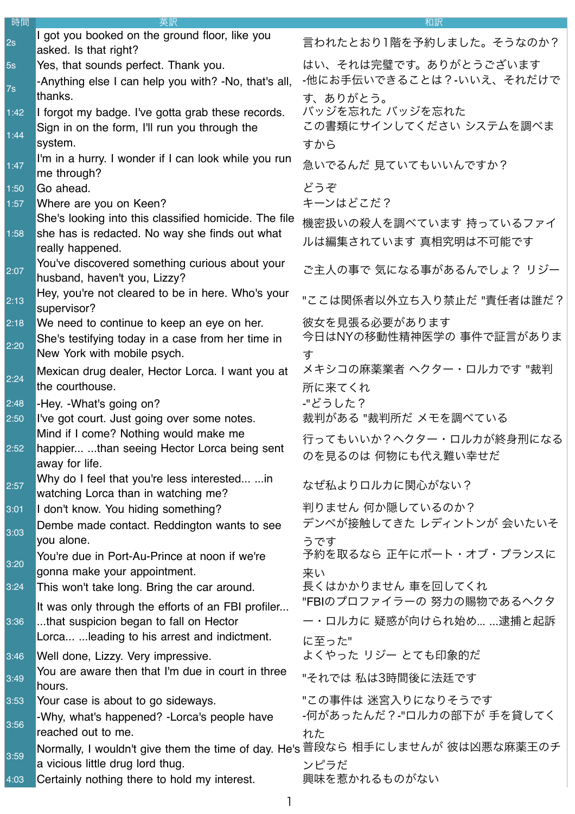| 時間   | 英訳                                                                                                                | 和訳                                                |
|------|-------------------------------------------------------------------------------------------------------------------|---------------------------------------------------|
| 2s   | I got you booked on the ground floor, like you<br>asked. Is that right?                                           | 言われたとおり1階を予約しました。そうなのか?                           |
| 5s   | Yes, that sounds perfect. Thank you.                                                                              | はい、それは完璧です。ありがとうございます<br>-他にお手伝いできることは?-いいえ、それだけで |
| 7s   | -Anything else I can help you with? -No, that's all,<br>thanks.                                                   | す、ありがとう。                                          |
| 1:42 | I forgot my badge. I've gotta grab these records.                                                                 | バッジを忘れた バッジを忘れた                                   |
| 1:44 | Sign in on the form, I'll run you through the<br>system.                                                          | この書類にサインしてください システムを調べま<br>すから                    |
| 1:47 | I'm in a hurry. I wonder if I can look while you run<br>me through?                                               | 急いでるんだ 見ていてもいいんですか?                               |
| 1:50 | Go ahead.                                                                                                         | どうぞ                                               |
| 1:57 | Where are you on Keen?                                                                                            | キーンはどこだ?                                          |
| 1:58 | She's looking into this classified homicide. The file<br>she has is redacted. No way she finds out what           | 機密扱いの殺人を調べています 持っているファイ                           |
|      | really happened.                                                                                                  | ルは編集されています 真相究明は不可能です                             |
| 2:07 | You've discovered something curious about your<br>husband, haven't you, Lizzy?                                    | ご主人の事で 気になる事があるんでしょ? リジー                          |
| 2:13 | Hey, you're not cleared to be in here. Who's your<br>supervisor?                                                  | "ここは関係者以外立ち入り禁止だ "責任者は誰だ?                         |
| 2:18 | We need to continue to keep an eye on her.                                                                        | 彼女を見張る必要があります<br>今日はNYの移動性精神医学の 事件で証言がありま         |
| 2:20 | She's testifying today in a case from her time in<br>New York with mobile psych.                                  | す                                                 |
| 2:24 | Mexican drug dealer, Hector Lorca. I want you at                                                                  | メキシコの麻薬業者 ヘクター・ロルカです "裁判                          |
|      | the courthouse.                                                                                                   | 所に来てくれ                                            |
| 2:48 | -Hey. - What's going on?                                                                                          | -"どうした?                                           |
| 2:50 | I've got court. Just going over some notes.                                                                       | 裁判がある "裁判所だ メモを調べている                              |
| 2:52 | Mind if I come? Nothing would make me<br>happier than seeing Hector Lorca being sent                              | 行ってもいいか?ヘクター・ロルカが終身刑になる                           |
|      | away for life.                                                                                                    | のを見るのは 何物にも代え難い幸せだ                                |
| 2:57 | Why do I feel that you're less interested  in<br>watching Lorca than in watching me?                              | なぜ私よりロルカに関心がない?                                   |
| 3:01 | I don't know. You hiding something?                                                                               | 判りません 何か隠しているのか?                                  |
| 3:03 | Dembe made contact. Reddington wants to see                                                                       | デンベが接触してきた レディントンが 会いたいそ                          |
|      | you alone.<br>You're due in Port-Au-Prince at noon if we're                                                       | うです<br>予約を取るなら 正午にポート・オブ・プランスに                    |
| 3:20 | gonna make your appointment.                                                                                      | 来い                                                |
| 3:24 | This won't take long. Bring the car around.                                                                       | 長くはかかりません 車を回してくれ                                 |
|      | It was only through the efforts of an FBI profiler                                                                | "FBIのプロファイラーの 努力の賜物であるヘクタ                         |
| 3:36 | that suspicion began to fall on Hector                                                                            | ー・ロルカに 疑惑が向けられ始め… …逮捕と起訴                          |
|      | Lorca  leading to his arrest and indictment.                                                                      | に至った"                                             |
| 3:46 | Well done, Lizzy. Very impressive.                                                                                | よくやった リジー とても印象的だ                                 |
| 3:49 | You are aware then that I'm due in court in three<br>hours.                                                       | "それでは 私は3時間後に法廷です                                 |
| 3:53 | Your case is about to go sideways.                                                                                | "この事件は 迷宮入りになりそうです                                |
| 3:56 | -Why, what's happened? -Lorca's people have                                                                       | -何があったんだ?-"ロルカの部下が 手を貸してく                         |
|      | reached out to me.                                                                                                | れた                                                |
| 3:59 | Normally, I wouldn't give them the time of day. He's 普段なら 相手にしませんが 彼は凶悪な麻薬王のチ<br>a vicious little drug lord thug. | ンピラだ                                              |
| 4:03 | Certainly nothing there to hold my interest.                                                                      | 興味を惹かれるものがない                                      |
|      |                                                                                                                   |                                                   |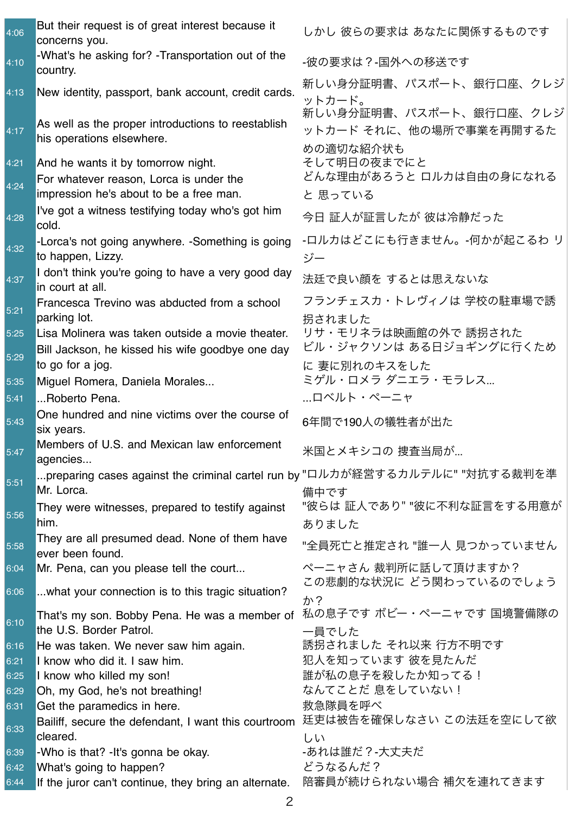| 4:06         | But their request is of great interest because it<br>concerns you.                         | しかし 彼らの要求は あなたに関係するものです                                         |
|--------------|--------------------------------------------------------------------------------------------|-----------------------------------------------------------------|
| 4:10         | -What's he asking for? - Transportation out of the<br>country.                             | -彼の要求は?-国外への移送です                                                |
| 4:13         | New identity, passport, bank account, credit cards.                                        | 新しい身分証明書、パスポート、銀行口座、クレジ<br>ットカード。                               |
| 4:17         | As well as the proper introductions to reestablish<br>his operations elsewhere.            | 新しい身分証明書、パスポート、銀行口座、クレジ<br>ットカード それに、他の場所で事業を再開するた<br>めの適切な紹介状も |
| 4:21         | And he wants it by tomorrow night.                                                         | そして明日の夜までにと                                                     |
| 4:24         | For whatever reason, Lorca is under the<br>impression he's about to be a free man.         | どんな理由があろうと ロルカは自由の身になれる<br>と 思っている                              |
| 4:28         | I've got a witness testifying today who's got him<br>cold.                                 | 今日 証人が証言したが 彼は冷静だった                                             |
| 4:32         | -Lorca's not going anywhere. -Something is going<br>to happen, Lizzy.                      | -ロルカはどこにも行きません。-何かが起こるわ リ<br>ジー                                 |
| 4:37         | I don't think you're going to have a very good day<br>in court at all.                     | 法廷で良い顔を するとは思えないな                                               |
| 5:21         | Francesca Trevino was abducted from a school<br>parking lot.                               | フランチェスカ・トレヴィノは 学校の駐車場で誘<br>拐されました                               |
| 5:25         | Lisa Molinera was taken outside a movie theater.                                           | リサ・モリネラは映画館の外で 誘拐された                                            |
| 5:29         | Bill Jackson, he kissed his wife goodbye one day<br>to go for a jog.                       | ビル・ジャクソンは ある日ジョギングに行くため<br>に 妻に別れのキスをした                         |
| 5:35         | Miguel Romera, Daniela Morales                                                             | ミゲル・ロメラ ダニエラ・モラレス                                               |
| 5:41         | Roberto Pena.                                                                              | …ロベルト・ペーニャ                                                      |
| 5:43         | One hundred and nine victims over the course of<br>six years.                              | 6年間で190人の犠牲者が出た                                                 |
| 5:47         | Members of U.S. and Mexican law enforcement<br>agencies                                    | 米国とメキシコの 捜査当局が                                                  |
| 5:51         | preparing cases against the criminal cartel run by "ロルカが経営するカルテルに" "対抗する裁判を準<br>Mr. Lorca. | 備中です                                                            |
| 5:56         | They were witnesses, prepared to testify against<br>him.                                   | "彼らは 証人であり" "彼に不利な証言をする用意が<br>ありました                             |
| 5:58         | They are all presumed dead. None of them have<br>ever been found.                          | "全員死亡と推定され "誰一人 見つかっていません                                       |
| 6:04         | Mr. Pena, can you please tell the court                                                    | ペーニャさん 裁判所に話して頂けますか?                                            |
| 6:06         | what your connection is to this tragic situation?                                          | この悲劇的な状況に どう関わっているのでしょう<br>か?                                   |
| 6:10         | That's my son. Bobby Pena. He was a member of<br>the U.S. Border Patrol.                   | 私の息子です ボビー・ペーニャです 国境警備隊の<br>一員でした                               |
| 6:16         | He was taken. We never saw him again.                                                      | 誘拐されました それ以来 行方不明です                                             |
| 6:21         | I know who did it. I saw him.                                                              | 犯人を知っています 彼を見たんだ                                                |
| 6:25         | I know who killed my son!                                                                  | 誰が私の息子を殺したか知ってる!                                                |
| 6:29         | Oh, my God, he's not breathing!                                                            | なんてことだ 息をしていない!                                                 |
| 6:31<br>6:33 | Get the paramedics in here.<br>Bailiff, secure the defendant, I want this courtroom        | 救急隊員を呼べ<br>廷吏は被告を確保しなさい この法廷を空にして欲                              |
|              | cleared.                                                                                   | しい                                                              |
| 6:39<br>6:42 | -Who is that? - It's gonna be okay.<br>What's going to happen?                             | -あれは誰だ?-大丈夫だ<br>どうなるんだ?                                         |
| 6:44         | If the juror can't continue, they bring an alternate.                                      | 陪審員が続けられない場合 補欠を連れてきます                                          |
|              |                                                                                            |                                                                 |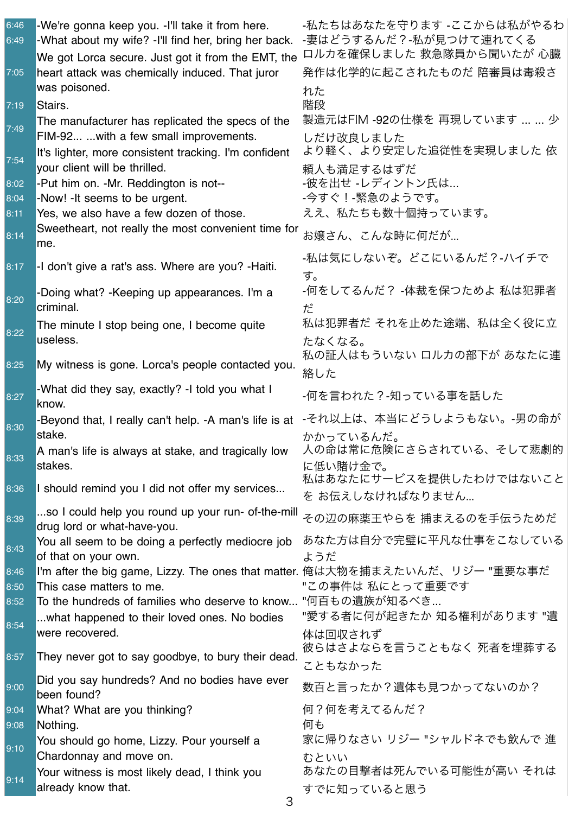| 6:46<br>6:49 | -We're gonna keep you. -I'll take it from here.<br>-What about my wife? -I'll find her, bring her back. | -私たちはあなたを守ります -ここからは私がやるわ<br>-妻はどうするんだ?-私が見つけて連れてくる                                      |
|--------------|---------------------------------------------------------------------------------------------------------|------------------------------------------------------------------------------------------|
|              | We got Lorca secure. Just got it from the EMT, the                                                      | ロルカを確保しました 救急隊員から聞いたが 心臓                                                                 |
| 7:05         | heart attack was chemically induced. That juror                                                         | 発作は化学的に起こされたものだ 陪審員は毒殺さ                                                                  |
|              | was poisoned.                                                                                           | れた                                                                                       |
| 7:19         | Stairs.                                                                                                 | 階段                                                                                       |
| 7:49         | The manufacturer has replicated the specs of the<br>FIM-92  with a few small improvements.              | 製造元はFIM -92の仕様を 再現しています   少<br>しだけ改良しました                                                 |
| 7:54         | It's lighter, more consistent tracking. I'm confident<br>your client will be thrilled.                  | より軽く、より安定した追従性を実現しました 依<br>頼人も満足するはずだ                                                    |
| 8:02         | -Put him on. -Mr. Reddington is not--                                                                   | -彼を出せ -レディントン氏は…                                                                         |
| 8:04         | -Now! - It seems to be urgent.                                                                          | -今すぐ!-緊急のようです。                                                                           |
| 8:11         | Yes, we also have a few dozen of those.                                                                 | ええ、私たちも数十個持っています。                                                                        |
| 8:14         | Sweetheart, not really the most convenient time for<br>me.                                              | お嬢さん、こんな時に何だが…                                                                           |
| 8:17         | -I don't give a rat's ass. Where are you? - Haiti.                                                      | -私は気にしないぞ。どこにいるんだ?-ハイチで<br>す。                                                            |
| 8:20         | -Doing what? - Keeping up appearances. I'm a<br>criminal.                                               | -何をしてるんだ? -体裁を保つためよ 私は犯罪者<br>だ                                                           |
|              | The minute I stop being one, I become quite                                                             | 私は犯罪者だ それを止めた途端、私は全く役に立                                                                  |
| 8:22         | useless.                                                                                                | たなくなる。                                                                                   |
|              |                                                                                                         | 私の証人はもういない ロルカの部下が あなたに連                                                                 |
| 8:25         | My witness is gone. Lorca's people contacted you.                                                       | 絡した                                                                                      |
| 8:27         | -What did they say, exactly? -I told you what I<br>know.                                                | -何を言われた?-知っている事を話した                                                                      |
| 8:30         | -Beyond that, I really can't help. -A man's life is at<br>stake.                                        | -それ以上は、本当にどうしようもない。-男の命が<br>かかっているんだ。                                                    |
| 8:33         | stakes.                                                                                                 | A man's life is always at stake, and tragically low  人の命は常に危険にさらされている、そして悲劇的<br>に低い賭け金で。 |
| 8:36         | I should remind you I did not offer my services                                                         | 私はあなたにサービスを提供したわけではないこと<br>を お伝えしなければなりません                                               |
| 8:39         | so I could help you round up your run- of-the-mill<br>drug lord or what-have-you.                       | その辺の麻薬王やらを 捕まえるのを手伝うためだ                                                                  |
| 8:43         | You all seem to be doing a perfectly mediocre job<br>of that on your own.                               | あなた方は自分で完璧に平凡な仕事をこなしている                                                                  |
| 8:46         | I'm after the big game, Lizzy. The ones that matter. 俺は大物を捕まえたいんだ、リジー "重要な事だ                            | ようだ                                                                                      |
| 8:50         | This case matters to me.                                                                                | "この事件は 私にとって重要です                                                                         |
| 8:52         | To the hundreds of families who deserve to know "何百もの遺族が知るべき                                            |                                                                                          |
| 8:54         | what happened to their loved ones. No bodies                                                            | "愛する者に何が起きたか 知る権利があります "遺                                                                |
|              | were recovered.                                                                                         | 体は回収されず<br>彼らはさよならを言うこともなく 死者を埋葬する                                                       |
| 8:57         | They never got to say goodbye, to bury their dead.                                                      | こともなかった                                                                                  |
| 9:00         | Did you say hundreds? And no bodies have ever<br>been found?                                            | 数百と言ったか?遺体も見つかってないのか?                                                                    |
| 9:04         | What? What are you thinking?                                                                            | 何?何を考えてるんだ?                                                                              |
| 9:08         | Nothing.                                                                                                | 何も                                                                                       |
| 9:10         | You should go home, Lizzy. Pour yourself a<br>Chardonnay and move on.                                   | 家に帰りなさい リジー "シャルドネでも飲んで 進<br>むといい                                                        |
| 9:14         | Your witness is most likely dead, I think you<br>already know that.                                     | あなたの目撃者は死んでいる可能性が高い それは<br>すでに知っていると思う                                                   |
|              |                                                                                                         |                                                                                          |

3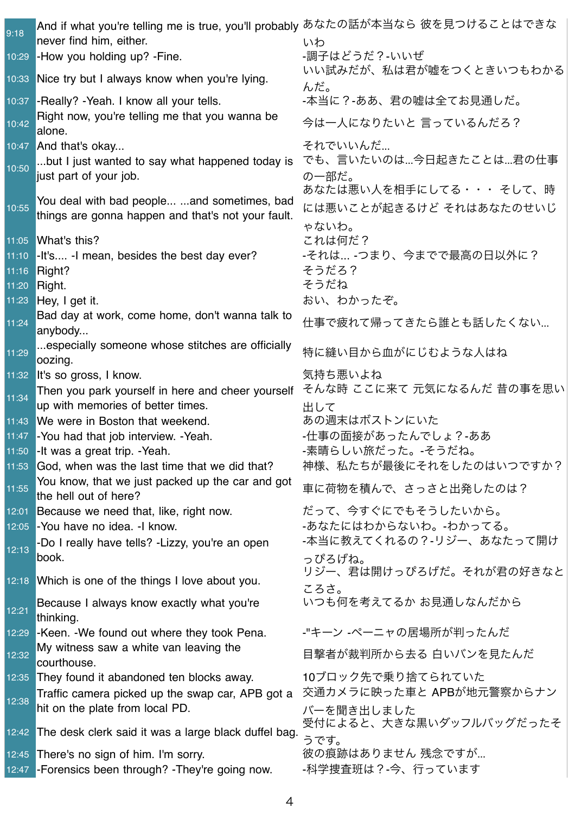| 9:18           | And if what you're telling me is true, you'll probably あなたの話が本当なら 彼を見つけることはできな |                                 |
|----------------|--------------------------------------------------------------------------------|---------------------------------|
|                | never find him, either.                                                        | いわ                              |
| 10:29          | -How you holding up? -Fine.                                                    | -調子はどうだ?-いいぜ                    |
|                | 10:33 Nice try but I always know when you're lying.                            | いい試みだが、私は君が嘘をつくときいつもわかる<br>んだ。  |
|                | 10:37 - Really? - Yeah. I know all your tells.                                 | -本当に?-ああ、君の嘘は全てお見通しだ。           |
| 10:42          | Right now, you're telling me that you wanna be<br>alone.                       | 今は一人になりたいと 言っているんだろ?            |
|                | 10:47 And that's okay                                                          | それでいいんだ                         |
| 10:50          | but I just wanted to say what happened today is                                | でも、言いたいのは…今日起きたことは…君の仕事         |
|                | just part of your job.                                                         | の一部だ。                           |
|                | You deal with bad people  and sometimes, bad                                   | あなたは悪い人を相手にしてる・・・そして、時          |
| 10:55          | things are gonna happen and that's not your fault.                             | には悪いことが起きるけど それはあなたのせいじ         |
|                |                                                                                | ゃないわ。                           |
|                | 11:05 What's this?                                                             | これは何だ?                          |
| 11:10          | -It's -I mean, besides the best day ever?                                      | -それは… -つまり、今までで最高の日以外に?         |
| 11:16<br>11:20 | Right?<br>Right.                                                               | そうだろ?<br>そうだね                   |
| 11:23          | Hey, I get it.                                                                 | おい、わかったぞ。                       |
|                | Bad day at work, come home, don't wanna talk to                                |                                 |
| 11:24          | anybody                                                                        | 仕事で疲れて帰ってきたら誰とも話したくない           |
|                | especially someone whose stitches are officially                               |                                 |
| 11:29          | oozing.                                                                        | 特に縫い目から血がにじむような人はね              |
|                | 11:32 It's so gross, I know.                                                   | 気持ち悪いよね                         |
| 11:34          | Then you park yourself in here and cheer yourself                              | そんな時 ここに来て 元気になるんだ 昔の事を思い       |
|                | up with memories of better times.                                              | 出して                             |
| 11:43          | We were in Boston that weekend.                                                | あの週末はボストンにいた                    |
|                | 11:47 - You had that job interview. - Yeah.                                    | -仕事の面接があったんでしょ?-ああ              |
|                | 11:50 - It was a great trip. - Yeah.                                           | -素晴らしい旅だった。-そうだね。               |
|                | 11:53 God, when was the last time that we did that?                            | 神様、私たちが最後にそれをしたのはいつですか?         |
| 11:55          | You know, that we just packed up the car and got<br>the hell out of here?      | 車に荷物を積んで、さっさと出発したのは?            |
|                | 12:01 Because we need that, like, right now.                                   | だって、今すぐにでもそうしたいから。              |
| 12:05          | -You have no idea. -I know.                                                    | -あなたにはわからないわ。-わかってる。            |
| 12:13          | -Do I really have tells? - Lizzy, you're an open                               | -本当に教えてくれるの?-リジー、あなたって開け        |
|                | book.                                                                          | っぴろげね。                          |
|                | 12:18 Which is one of the things I love about you.                             | リジー、君は開けっぴろげだ。それが君の好きなと         |
|                |                                                                                | ころさ。<br>いつも何を考えてるか お見通しなんだから    |
| 12:21          | Because I always know exactly what you're<br>thinking.                         |                                 |
| 12:29          | -Keen. - We found out where they took Pena.                                    | -"キーン -ペーニャの居場所が判ったんだ           |
| 12:32          | My witness saw a white van leaving the<br>courthouse.                          | 目撃者が裁判所から去る 白いバンを見たんだ           |
| 12:35          | They found it abandoned ten blocks away.                                       | 10ブロック先で乗り捨てられていた               |
|                | Traffic camera picked up the swap car, APB got a                               | 交通カメラに映った車と APBが地元警察からナン        |
| 12:38          | hit on the plate from local PD.                                                | バーを聞き出しました                      |
|                | 12:42 The desk clerk said it was a large black duffel bag.                     | 受付によると、大きな黒いダッフルバッグだったそ<br>うです。 |
|                | 12:45 There's no sign of him. I'm sorry.                                       | 彼の痕跡はありません 残念ですが                |
|                | 12:47 - Forensics been through? - They're going now.                           | -科学捜査班は?-今、行っています               |
|                |                                                                                |                                 |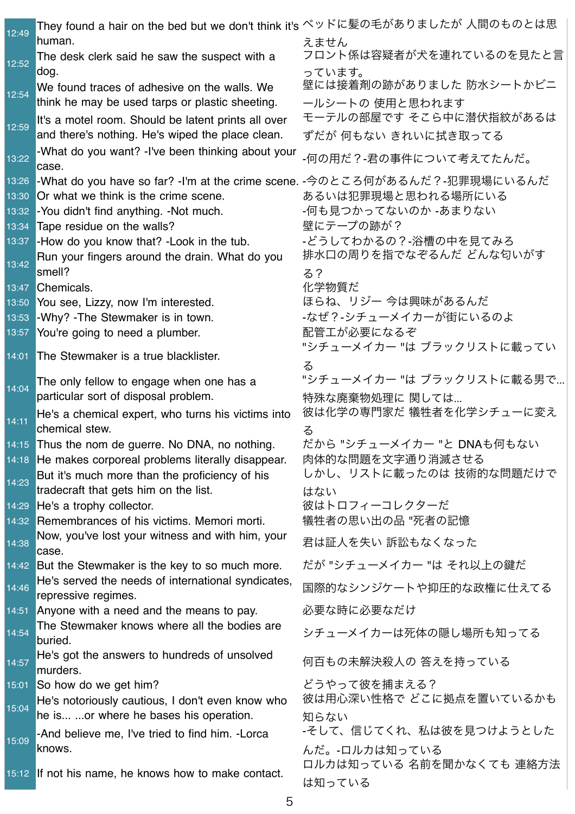| 12:49          | They found a hair on the bed but we don't think it's ベッドに髪の毛がありましたが 人間のものとは思<br>human.                    | えません                                        |
|----------------|-----------------------------------------------------------------------------------------------------------|---------------------------------------------|
| 12:52          | The desk clerk said he saw the suspect with a                                                             | フロント係は容疑者が犬を連れているのを見たと言                     |
| 12:54          | dog.<br>We found traces of adhesive on the walls. We                                                      | っています。<br>壁には接着剤の跡がありました 防水シートかビニ           |
| 12:59          | think he may be used tarps or plastic sheeting.<br>It's a motel room. Should be latent prints all over    | ールシートの 使用と思われます<br>モーテルの部屋です そこら中に潜伏指紋があるは  |
|                | and there's nothing. He's wiped the place clean.<br>-What do you want? -I've been thinking about your     | ずだが 何もない きれいに拭き取ってる                         |
| 13:22<br>13:26 | case.<br> -What do you have so far? -I'm at the crime scene. -今のところ何があるんだ?-犯罪現場にいるんだ                      | -何の用だ?-君の事件について考えてたんだ。                      |
| 13:30          | Or what we think is the crime scene.                                                                      | あるいは犯罪現場と思われる場所にいる                          |
| 13:32<br>13:34 | -You didn't find anything. -Not much.<br>Tape residue on the walls?                                       | -何も見つかってないのか -あまりない<br>壁にテープの跡が?            |
| 13:37          | -How do you know that? - Look in the tub.                                                                 | -どうしてわかるの?-浴槽の中を見てみろ                        |
| 13:42          | Run your fingers around the drain. What do you<br>smell?                                                  | 排水口の周りを指でなぞるんだ どんな匂いがす<br><u>කි</u> ?       |
| 13:47          | Chemicals.                                                                                                | 化学物質だ                                       |
| 13:50          | You see, Lizzy, now I'm interested.                                                                       | ほらね、リジー 今は興味があるんだ                           |
| 13:53          | -Why? - The Stewmaker is in town.                                                                         | -なぜ?-シチューメイカーが街にいるのよ                        |
| 13:57          | You're going to need a plumber.                                                                           | 配管工が必要になるぞ                                  |
| 14:01          | The Stewmaker is a true blacklister.                                                                      | "シチューメイカー "は ブラックリストに載ってい<br>る              |
| 14:04          | The only fellow to engage when one has a<br>particular sort of disposal problem.                          | "シチューメイカー "は ブラックリストに載る男で<br>特殊な廃棄物処理に 関しては |
| 14:11          | He's a chemical expert, who turns his victims into<br>chemical stew.                                      | 彼は化学の専門家だ 犠牲者を化学シチューに変え<br>る                |
|                | 14:15 Thus the nom de guerre. No DNA, no nothing.                                                         | だから "シチューメイカー "と DNAも何もない                   |
|                | 14:18 He makes corporeal problems literally disappear.                                                    | 肉体的な問題を文字通り消滅させる<br>しかし、リストに載ったのは 技術的な問題だけで |
| 14:23          | But it's much more than the proficiency of his<br>tradecraft that gets him on the list.                   | はない                                         |
| 14:29          | He's a trophy collector.                                                                                  | 彼はトロフィーコレクターだ                               |
|                | 14:32 Remembrances of his victims. Memori morti.                                                          | 犠牲者の思い出の品 "死者の記憶                            |
| 14:38          | Now, you've lost your witness and with him, your<br>case.                                                 | 君は証人を失い 訴訟もなくなった                            |
|                | 14:42 But the Stewmaker is the key to so much more.<br>He's served the needs of international syndicates, | だが "シチューメイカー "は それ以上の鍵だ                     |
| 14:46          | repressive regimes.                                                                                       | 国際的なシンジケートや抑圧的な政権に仕えてる                      |
|                | 14:51 Anyone with a need and the means to pay.                                                            | 必要な時に必要なだけ                                  |
| 14:54          | The Stewmaker knows where all the bodies are<br>buried.                                                   | シチューメイカーは死体の隠し場所も知ってる                       |
| 14:57          | He's got the answers to hundreds of unsolved<br>murders.                                                  | 何百もの未解決殺人の 答えを持っている                         |
|                | 15:01 So how do we get him?                                                                               | どうやって彼を捕まえる?                                |
| 15:04          | He's notoriously cautious, I don't even know who                                                          | 彼は用心深い性格で どこに拠点を置いているかも                     |
|                | he is or where he bases his operation.                                                                    | 知らない                                        |
| 15:09          | -And believe me, I've tried to find him. -Lorca<br>knows.                                                 | -そして、信じてくれ、私は彼を見つけようとした<br>んだ。-ロルカは知っている    |
|                | 15:12 If not his name, he knows how to make contact.                                                      | ロルカは知っている 名前を聞かなくても 連絡方法<br>は知っている          |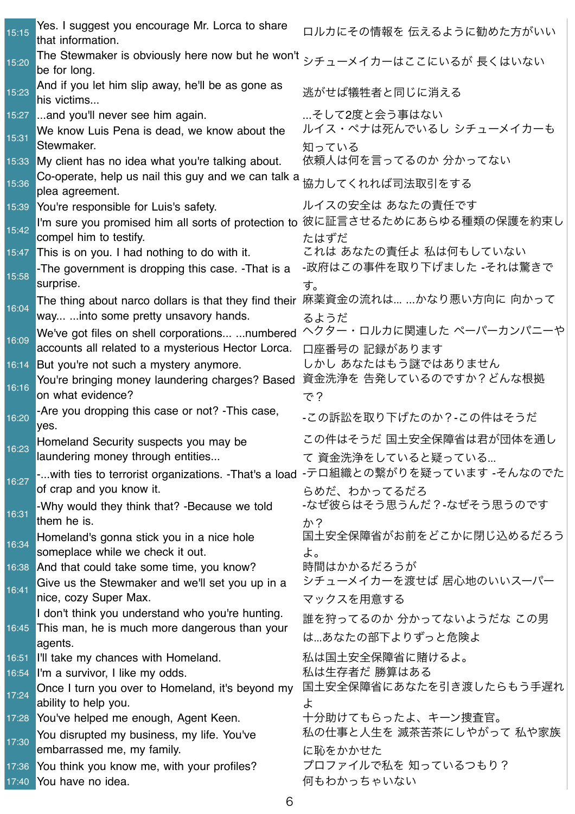| 15:15 | Yes. I suggest you encourage Mr. Lorca to share<br>that information.                            | ロルカにその情報を 伝えるように勧めた方がいい                      |
|-------|-------------------------------------------------------------------------------------------------|----------------------------------------------|
| 15:20 | The Stewmaker is obviously here now but he won't<br>be for long.                                | シチューメイカーはここにいるが 長くはいない                       |
| 15:23 | And if you let him slip away, he'll be as gone as<br>his victims                                | 逃がせば犠牲者と同じに消える                               |
| 15:27 | and you'll never see him again.<br>We know Luis Pena is dead, we know about the                 | …そして2度と会う事はない<br>ルイス・ペナは死んでいるし シチューメイカーも     |
| 15:31 | Stewmaker.                                                                                      | 知っている                                        |
|       | 15:33 My client has no idea what you're talking about.                                          | 依頼人は何を言ってるのか 分かってない                          |
| 15:36 | Co-operate, help us nail this guy and we can talk a<br>plea agreement.                          | 協力してくれれば司法取引をする                              |
| 15:39 | You're responsible for Luis's safety.                                                           | ルイスの安全は あなたの責任です                             |
| 15:42 | I'm sure you promised him all sorts of protection to<br>compel him to testify.                  | 彼に証言させるためにあらゆる種類の保護を約束し<br>たはずだ              |
| 15:47 | This is on you. I had nothing to do with it.                                                    | これは あなたの責任よ 私は何もしていない                        |
| 15:58 | -The government is dropping this case. -That is a<br>surprise.                                  | -政府はこの事件を取り下げました -それは驚きで<br>す。               |
|       | The thing about narco dollars is that they find their                                           | 麻薬資金の流れは……かなり悪い方向に 向かって                      |
| 16:04 | way  into some pretty unsavory hands.                                                           | るようだ                                         |
| 16:09 | We've got files on shell corporations numbered                                                  | ヘクター・ロルカに関連した ペーパーカンパニーや                     |
|       | accounts all related to a mysterious Hector Lorca.                                              | 口座番号の 記録があります                                |
|       | 16:14 But you're not such a mystery anymore.<br>You're bringing money laundering charges? Based | しかし あなたはもう謎ではありません<br>資金洗浄を 告発しているのですか?どんな根拠 |
| 16:16 | on what evidence?                                                                               | で?                                           |
| 16:20 | -Are you dropping this case or not? - This case,<br>yes.                                        | -この訴訟を取り下げたのか?-この件はそうだ                       |
| 16:23 | Homeland Security suspects you may be                                                           | この件はそうだ 国土安全保障省は君が団体を通し                      |
|       | laundering money through entities                                                               | て 資金洗浄をしていると疑っている                            |
| 16:27 | -with ties to terrorist organizations. -That's a load<br>of crap and you know it.               | -テロ組織との繋がりを疑っています -そんなのでた<br>らめだ、わかってるだろ     |
| 16:31 | -Why would they think that? -Because we told<br>them he is.                                     | -なぜ彼らはそう思うんだ?-なぜそう思うのです<br>ゕ?                |
| 16:34 | Homeland's gonna stick you in a nice hole                                                       | 国土安全保障省がお前をどこかに閉じ込めるだろう                      |
|       | someplace while we check it out.<br>16:38 And that could take some time, you know?              | よ。<br>時間はかかるだろうが                             |
|       | Give us the Stewmaker and we'll set you up in a                                                 | シチューメイカーを渡せば 居心地のいいスーパー                      |
| 16:41 | nice, cozy Super Max.                                                                           | マックスを用意する                                    |
|       | I don't think you understand who you're hunting.                                                | 誰を狩ってるのか 分かってないようだな この男                      |
|       | 16:45 This man, he is much more dangerous than your<br>agents.                                  | は…あなたの部下よりずっと危険よ                             |
| 16:51 | I'll take my chances with Homeland.                                                             | 私は国土安全保障省に賭けるよ。                              |
| 16:54 | I'm a survivor, I like my odds.                                                                 | 私は生存者だ 勝算はある                                 |
| 17:24 | Once I turn you over to Homeland, it's beyond my                                                | 国土安全保障省にあなたを引き渡したらもう手遅れ                      |
| 17:28 | ability to help you.<br>You've helped me enough, Agent Keen.                                    | ょ<br>十分助けてもらったよ、キーン捜査官。                      |
|       | You disrupted my business, my life. You've                                                      | 私の仕事と人生を 滅茶苦茶にしやがって 私や家族                     |
| 17:30 | embarrassed me, my family.                                                                      | に恥をかかせた                                      |
| 17:36 | You think you know me, with your profiles?                                                      | プロファイルで私を 知っているつもり?                          |
| 17:40 | You have no idea.                                                                               | 何もわかっちゃいない                                   |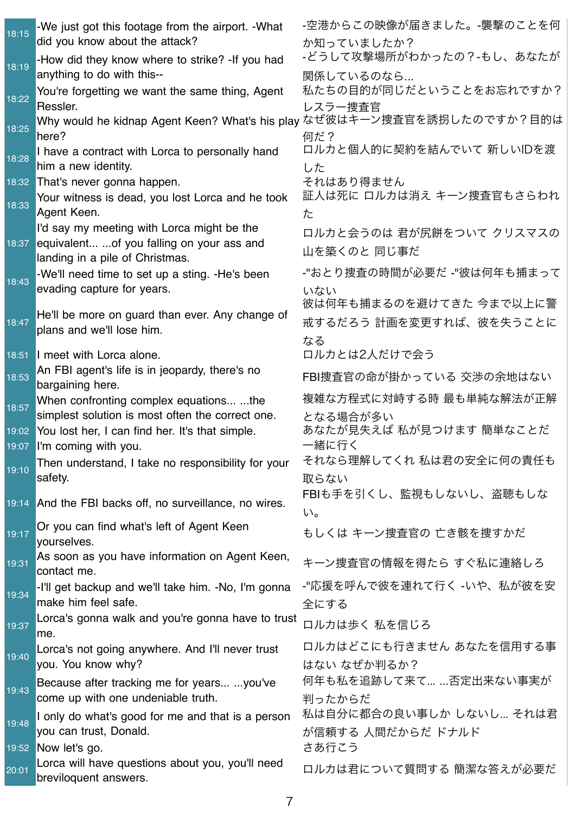| 18:15 | -We just got this footage from the airport. - What                      | -空港からこの映像が届きました。-襲撃のことを何              |
|-------|-------------------------------------------------------------------------|---------------------------------------|
|       | did you know about the attack?                                          | か知っていましたか?                            |
| 18:19 | -How did they know where to strike? -If you had                         | -どうして攻撃場所がわかったの?-もし、あなたが              |
|       | anything to do with this--                                              | 関係しているのなら                             |
| 18:22 | You're forgetting we want the same thing, Agent                         | 私たちの目的が同じだということをお忘れですか?               |
|       | Ressler.                                                                | レスラー捜査官                               |
| 18:25 | Why would he kidnap Agent Keen? What's his play なぜ彼はキーン捜査官を誘拐したのですか?目的は |                                       |
|       | here?                                                                   | 何だ?                                   |
| 18:28 | I have a contract with Lorca to personally hand                         | ロルカと個人的に契約を結んでいて 新しいIDを渡              |
|       | him a new identity.                                                     | した                                    |
|       | 18:32 That's never gonna happen.                                        | それはあり得ません<br>証人は死に ロルカは消え キーン捜査官もさらわれ |
| 18:33 | Your witness is dead, you lost Lorca and he took                        |                                       |
|       | Agent Keen.<br>I'd say my meeting with Lorca might be the               | た                                     |
| 18:37 | equivalent  of you falling on your ass and                              | ロルカと会うのは 君が尻餅をついて クリスマスの              |
|       | landing in a pile of Christmas.                                         | 山を築くのと 同じ事だ                           |
|       | -We'll need time to set up a sting. -He's been                          | -"おとり捜査の時間が必要だ -"彼は何年も捕まって            |
| 18:43 | evading capture for years.                                              | いない                                   |
|       |                                                                         | 彼は何年も捕まるのを避けてきた 今まで以上に警               |
| 18:47 | He'll be more on guard than ever. Any change of                         | 戒するだろう 計画を変更すれば、彼を失うことに               |
|       | plans and we'll lose him.                                               | なる                                    |
|       | 18:51 I meet with Lorca alone.                                          | ロルカとは2人だけで会う                          |
|       | An FBI agent's life is in jeopardy, there's no                          |                                       |
| 18:53 | bargaining here.                                                        | FBI捜査官の命が掛かっている 交渉の余地はない              |
| 18:57 | When confronting complex equations the                                  | 複雑な方程式に対峙する時 最も単純な解法が正解               |
|       | simplest solution is most often the correct one.                        | となる場合が多い                              |
|       | 19:02 You lost her, I can find her. It's that simple.                   | あなたが見失えば 私が見つけます 簡単なことだ               |
|       | 19:07 I'm coming with you.                                              | 一緒に行く                                 |
| 19:10 | Then understand, I take no responsibility for your                      | それなら理解してくれ 私は君の安全に何の責任も               |
|       | safety.                                                                 | 取らない                                  |
|       | 19:14 And the FBI backs off, no surveillance, no wires.                 | FBIも手を引くし、監視もしないし、盗聴もしな               |
|       |                                                                         | $\mathsf{U}_\mathsf{a}$               |
| 19:17 | Or you can find what's left of Agent Keen<br>yourselves.                | もしくは キーン捜査官の 亡き骸を捜すかだ                 |
|       | As soon as you have information on Agent Keen,                          |                                       |
| 19:31 | contact me.                                                             | キーン捜査官の情報を得たら すぐ私に連絡しろ                |
|       | -I'll get backup and we'll take him. -No, I'm gonna                     | -"応援を呼んで彼を連れて行く -いや、私が彼を安             |
| 19:34 | make him feel safe.                                                     | 全にする                                  |
| 19:37 | Lorca's gonna walk and you're gonna have to trust                       | ロルカは歩く 私を信じろ                          |
|       | me.                                                                     |                                       |
| 19:40 | Lorca's not going anywhere. And I'll never trust                        | ロルカはどこにも行きません あなたを信用する事               |
|       | you. You know why?                                                      | はない なぜか判るか?                           |
| 19:43 | Because after tracking me for years you've                              | 何年も私を追跡して来て… …否定出来ない事実が               |
|       | come up with one undeniable truth.                                      | 判ったからだ                                |
| 19:48 | I only do what's good for me and that is a person                       | 私は自分に都合の良い事しか しないし それは君               |
|       | you can trust, Donald.                                                  | が信頼する 人間だからだ ドナルド                     |
|       | 19:52 Now let's go.                                                     | さあ行こう                                 |
| 20:01 | Lorca will have questions about you, you'll need                        | ロルカは君について質問する 簡潔な答えが必要だ               |
|       | breviloquent answers.                                                   |                                       |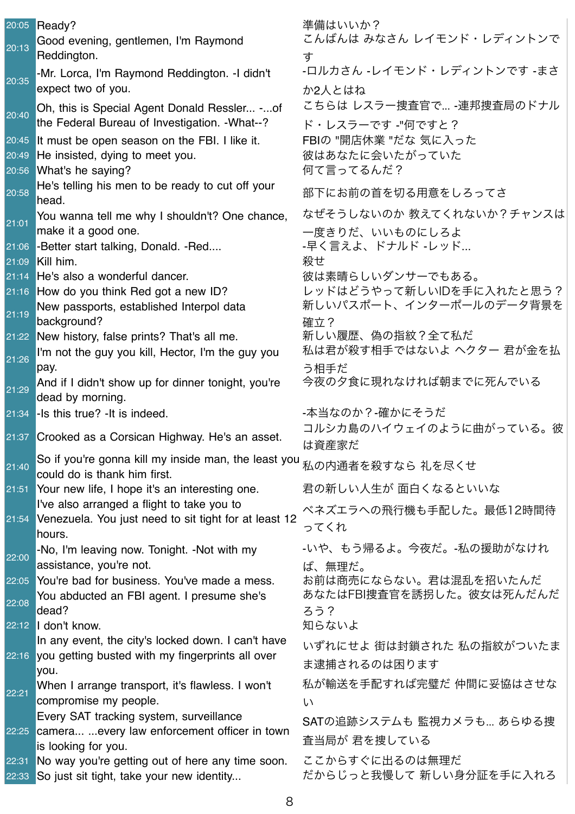|                | 20:05 Ready?                                                                                                         | 準備はいいか?<br>こんばんは みなさん レイモンド・レディントンで          |
|----------------|----------------------------------------------------------------------------------------------------------------------|----------------------------------------------|
| 20:13          | Good evening, gentlemen, I'm Raymond<br>Reddington.                                                                  | す                                            |
| 20:35          | -Mr. Lorca, I'm Raymond Reddington. - I didn't<br>expect two of you.                                                 | -ロルカさん -レイモンド・レディントンです -まさ<br>か2人とはね         |
| 20:40          | Oh, this is Special Agent Donald Ressler -of<br>the Federal Bureau of Investigation. - What--?                       | こちらは レスラー捜査官で -連邦捜査局のドナル<br>ド・レスラーです -"何ですと? |
| 20:45          | It must be open season on the FBI. I like it.                                                                        | FBIの "開店休業 "だな 気に入った                         |
| 20:49<br>20:56 | He insisted, dying to meet you.<br>What's he saying?                                                                 | 彼はあなたに会いたがっていた<br>何て言ってるんだ?                  |
| 20:58          | He's telling his men to be ready to cut off your<br>head.                                                            | 部下にお前の首を切る用意をしろってさ                           |
| 21:01          | You wanna tell me why I shouldn't? One chance,                                                                       | なぜそうしないのか 教えてくれないか?チャンスは                     |
|                | make it a good one.<br>21:06 - Better start talking, Donald. - Red                                                   | 一度きりだ、いいものにしろよ<br>-早く言えよ、ドナルド -レッド           |
| 21:09          | Kill him.                                                                                                            | 殺せ                                           |
| 21:14          | He's also a wonderful dancer.                                                                                        | 彼は素晴らしいダンサーでもある。                             |
|                | 21:16 How do you think Red got a new ID?                                                                             | レッドはどうやって新しいIDを手に入れたと思う?                     |
| 21:19          | New passports, established Interpol data<br>background?                                                              | 新しいパスポート、インターポールのデータ背景を<br>確立?               |
|                | 21:22 New history, false prints? That's all me.                                                                      | 新しい履歴、偽の指紋?全て私だ                              |
| 21:26          | I'm not the guy you kill, Hector, I'm the guy you<br>pay.                                                            | 私は君が殺す相手ではないよ ヘクター 君が金を払<br>う相手だ             |
| 21:29          | And if I didn't show up for dinner tonight, you're<br>dead by morning.                                               | 今夜の夕食に現れなければ朝までに死んでいる                        |
| 21:34          | -Is this true? -It is indeed.                                                                                        | -本当なのか?-確かにそうだ                               |
|                | 21:37 Crooked as a Corsican Highway. He's an asset.                                                                  | コルシカ島のハイウェイのように曲がっている。彼<br>は資産家だ             |
| 21:40          | So if you're gonna kill my inside man, the least you <sub>私の内通者を殺すなら 礼を尽くせ</sub><br>could do is thank him first.     |                                              |
| 21:51          | Your new life, I hope it's an interesting one.                                                                       | 君の新しい人生が 面白くなるといいな                           |
| 21:54          | I've also arranged a flight to take you to<br>Venezuela. You just need to sit tight for at least 12                  | ベネズエラへの飛行機も手配した。最低12時間待<br>ってくれ              |
|                | hours.<br>-No, I'm leaving now. Tonight. -Not with my                                                                | -いや、もう帰るよ。今夜だ。-私の援助がなけれ                      |
| 22:00          | assistance, you're not.                                                                                              | ば、無理だ。                                       |
| 22:05          | You're bad for business. You've made a mess.                                                                         | お前は商売にならない。君は混乱を招いたんだ                        |
| 22:08          | You abducted an FBI agent. I presume she's                                                                           | あなたはFBI捜査官を誘拐した。彼女は死んだんだ                     |
|                | dead?<br>$22:12$ don't know.                                                                                         | ろう?<br>知らないよ                                 |
|                | In any event, the city's locked down. I can't have                                                                   | いずれにせよ 街は封鎖された 私の指紋がついたま                     |
|                | 22:16 you getting busted with my fingerprints all over                                                               | ま逮捕されるのは困ります                                 |
|                | you.<br>When I arrange transport, it's flawless. I won't                                                             | 私が輸送を手配すれば完璧だ 仲間に妥協はさせな                      |
| 22:21          | compromise my people.                                                                                                | い                                            |
|                | Every SAT tracking system, surveillance                                                                              | SATの追跡システムも 監視カメラも あらゆる捜                     |
|                | 22:25 camera every law enforcement officer in town                                                                   | 査当局が 君を捜している                                 |
| 22:31<br>22:33 | is looking for you.<br>No way you're getting out of here any time soon.<br>So just sit tight, take your new identity | ここからすぐに出るのは無理だ<br>だからじっと我慢して 新しい身分証を手に入れろ    |
|                |                                                                                                                      |                                              |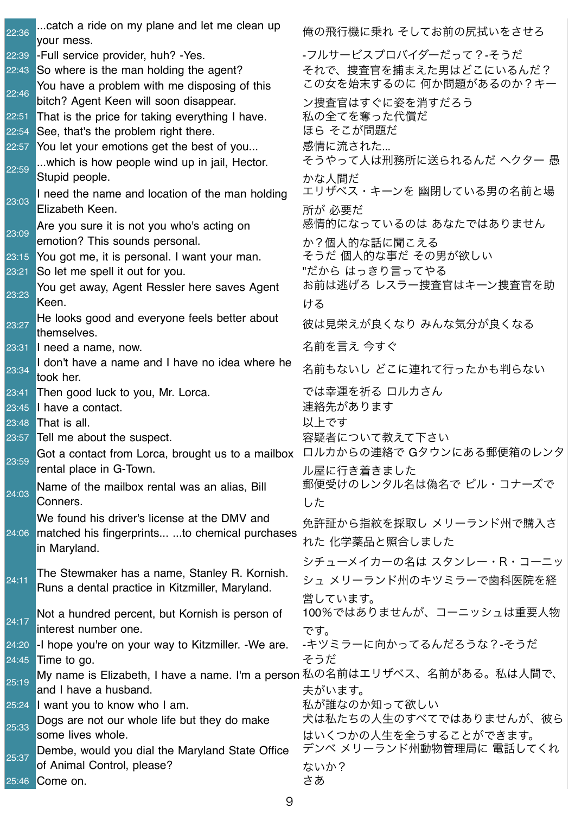| 22:36          | catch a ride on my plane and let me clean up<br>your mess. | 俺の飛行機に乗れ そしてお前の尻拭いをさせろ                                                     |
|----------------|------------------------------------------------------------|----------------------------------------------------------------------------|
| 22:39          | -Full service provider, huh? - Yes.                        | -フルサービスプロバイダーだって?-そうだ                                                      |
| 22:43          | So where is the man holding the agent?                     | それで、捜査官を捕まえた男はどこにいるんだ?                                                     |
|                | You have a problem with me disposing of this               | この女を始末するのに 何か問題があるのか?キー                                                    |
| 22:46          | bitch? Agent Keen will soon disappear.                     | ン捜査官はすぐに姿を消すだろう                                                            |
| 22:51          | That is the price for taking everything I have.            | 私の全てを奪った代償だ                                                                |
| 22:54          | See, that's the problem right there.                       | ほら そこが問題だ                                                                  |
| 22:57          | You let your emotions get the best of you                  | 感情に流された                                                                    |
|                | which is how people wind up in jail, Hector.               | そうやって人は刑務所に送られるんだ ヘクター 愚                                                   |
| 22:59          | Stupid people.                                             | かな人間だ                                                                      |
|                | I need the name and location of the man holding            | エリザベス・キーンを 幽閉している男の名前と場                                                    |
| 23:03          | Elizabeth Keen.                                            | 所が 必要だ                                                                     |
|                | Are you sure it is not you who's acting on                 | 感情的になっているのは あなたではありません                                                     |
| 23:09          | emotion? This sounds personal.                             | か?個人的な話に聞こえる                                                               |
| 23:15          | You got me, it is personal. I want your man.               | そうだ 個人的な事だ その男が欲しい                                                         |
| 23:21          | So let me spell it out for you.                            | "だから はっきり言ってやる                                                             |
| 23:23          | You get away, Agent Ressler here saves Agent               | お前は逃げろ レスラー捜査官はキーン捜査官を助                                                    |
|                | Keen.                                                      | ける                                                                         |
| 23:27          | He looks good and everyone feels better about              | 彼は見栄えが良くなり みんな気分が良くなる                                                      |
|                | themselves.                                                |                                                                            |
| 23:31          | I need a name, now.                                        | 名前を言え 今すぐ                                                                  |
| 23:34          | I don't have a name and I have no idea where he            | 名前もないし どこに連れて行ったかも判らない                                                     |
|                | took her.                                                  | では幸運を祈る ロルカさん                                                              |
| 23:41<br>23:45 | Then good luck to you, Mr. Lorca.<br>I have a contact.     | 連絡先があります                                                                   |
| 23:48          | That is all.                                               | 以上です                                                                       |
| 23:57          | Tell me about the suspect.                                 | 容疑者について教えて下さい                                                              |
|                |                                                            | Got a contact from Lorca, brought us to a mailbox ロルカからの連絡で Gタウンにある郵便箱のレンタ |
| 23:59          | rental place in G-Town.                                    | ル屋に行き着きました                                                                 |
|                | Name of the mailbox rental was an alias, Bill              | 郵便受けのレンタル名は偽名で ビル・コナーズで                                                    |
| 24:03          | Conners.                                                   | した                                                                         |
|                | We found his driver's license at the DMV and               |                                                                            |
|                | 24:06 matched his fingerprints to chemical purchases       | 免許証から指紋を採取し メリーランド州で購入さ                                                    |
|                | in Maryland.                                               | れた 化学薬品と照合しました                                                             |
|                |                                                            | シチューメイカーの名は スタンレー・R・コーニッ                                                   |
| 24:11          | The Stewmaker has a name, Stanley R. Kornish.              | シュ メリーランド州のキツミラーで歯科医院を経                                                    |
|                | Runs a dental practice in Kitzmiller, Maryland.            | 営しています。                                                                    |
|                | Not a hundred percent, but Kornish is person of            | 100%ではありませんが、コーニッシュは重要人物                                                   |
| 24:17          | interest number one.                                       | です。                                                                        |
| 24:20          | -I hope you're on your way to Kitzmiller. -We are.         | -キツミラーに向かってるんだろうな?-そうだ                                                     |
| 24:45          | Time to go.                                                | そうだ                                                                        |
| 25:19          | My name is Elizabeth, I have a name. I'm a person          | 私の名前はエリザベス、名前がある。私は人間で、                                                    |
|                | and I have a husband.                                      | 夫がいます。                                                                     |
|                | 25:24 I want you to know who I am.                         | 私が誰なのか知って欲しい                                                               |
| 25:33          | Dogs are not our whole life but they do make               | 犬は私たちの人生のすべてではありませんが、彼ら                                                    |
|                | some lives whole.                                          | はいくつかの人生を全うすることができます。                                                      |
| 25:37          | Dembe, would you dial the Maryland State Office            | デンベ メリーランド州動物管理局に 電話してくれ                                                   |
|                | of Animal Control, please?                                 | ないか?                                                                       |
| 25:46          | Come on.                                                   | さあ                                                                         |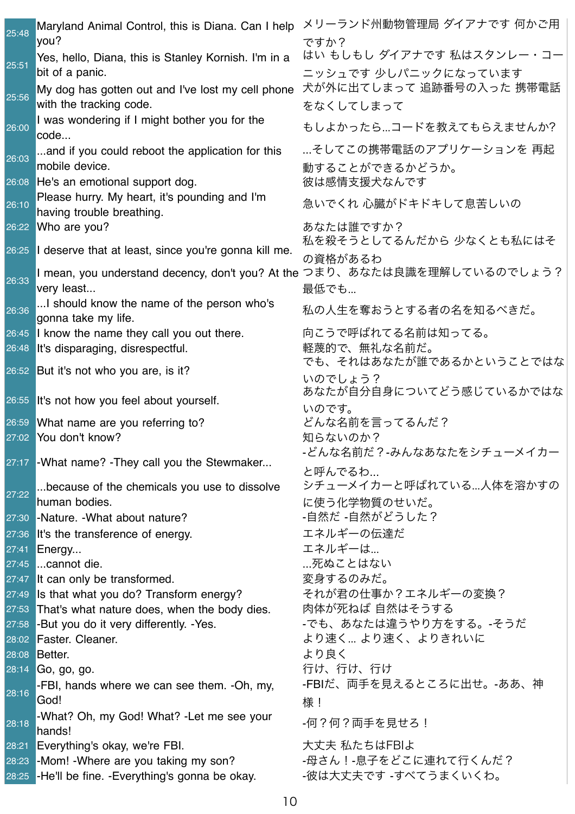| 25:48 | Maryland Animal Control, this is Diana. Can I help<br>you?                   | メリーランド州動物管理局 ダイアナです 何かご用<br>ですか?                  |
|-------|------------------------------------------------------------------------------|---------------------------------------------------|
| 25:51 | Yes, hello, Diana, this is Stanley Kornish. I'm in a<br>bit of a panic.      | はい もしもし ダイアナです 私はスタンレー・コー<br>ニッシュです 少しパニックになっています |
| 25:56 | My dog has gotten out and I've lost my cell phone<br>with the tracking code. | 犬が外に出てしまって 追跡番号の入った 携帯電話<br>をなくしてしまって             |
| 26:00 | I was wondering if I might bother you for the<br>code                        | もしよかったら…コードを教えてもらえませんか?                           |
| 26:03 | and if you could reboot the application for this<br>mobile device.           | …そしてこの携帯電話のアプリケーションを 再起<br>動することができるかどうか。         |
|       | 26:08 He's an emotional support dog.                                         | 彼は感情支援犬なんです                                       |
| 26:10 | Please hurry. My heart, it's pounding and I'm<br>having trouble breathing.   | 急いでくれ 心臓がドキドキして息苦しいの                              |
|       | 26:22 Who are you?                                                           | あなたは誰ですか?                                         |
|       | $26:25$ <b>I</b> deserve that at least, since you're gonna kill me.          | 私を殺そうとしてるんだから 少なくとも私にはそ                           |
|       |                                                                              | の資格があるわ                                           |
| 26:33 | I mean, you understand decency, don't you? At the<br>very least              | つまり、あなたは良識を理解しているのでしょう?<br>最低でも                   |
| 26:36 | I should know the name of the person who's<br>gonna take my life.            | 私の人生を奪おうとする者の名を知るべきだ。                             |
|       | 26:45 I know the name they call you out there.                               | 向こうで呼ばれてる名前は知ってる。                                 |
| 26:48 | It's disparaging, disrespectful.                                             | 軽蔑的で、無礼な名前だ。                                      |
|       | 26:52 But it's not who you are, is it?                                       | でも、それはあなたが誰であるかということではな                           |
|       |                                                                              | いのでしょう?<br>あなたが自分自身についてどう感じているかではな                |
|       | 26:55 It's not how you feel about yourself.                                  |                                                   |
|       | 26:59 What name are you referring to?                                        | いのです。<br>どんな名前を言ってるんだ?                            |
|       | 27:02 You don't know?                                                        | 知らないのか?                                           |
|       |                                                                              | -どんな名前だ?-みんなあなたをシチューメイカー                          |
|       | 27:17 - What name? - They call you the Stewmaker                             | と呼んでるわ                                            |
|       | because of the chemicals you use to dissolve                                 | シチューメイカーと呼ばれている…人体を溶かすの                           |
| 27:22 | human bodies.                                                                | に使う化学物質のせいだ。                                      |
| 27:30 | -Nature. - What about nature?                                                | -自然だ -自然がどうした?                                    |
|       | 27:36 It's the transference of energy.                                       | エネルギーの伝達だ                                         |
| 27:41 | Energy                                                                       | エネルギーは                                            |
| 27:45 | cannot die.                                                                  | …死ぬことはない                                          |
| 27:47 | It can only be transformed.                                                  | 変身するのみだ。                                          |
| 27:49 | Is that what you do? Transform energy?                                       | それが君の仕事か?エネルギーの変換?                                |
| 27:53 | That's what nature does, when the body dies.                                 | 肉体が死ねば 自然はそうする                                    |
|       | 27:58 -But you do it very differently. -Yes.                                 | -でも、あなたは違うやり方をする。-そうだ                             |
|       | 28:02 Faster. Cleaner.                                                       | より速く より速く、よりきれいに                                  |
| 28:08 | <b>Better.</b>                                                               | より良く<br>行け、行け、行け                                  |
| 28:14 | Go, go, go.<br>-FBI, hands where we can see them. -Oh, my,                   | -FBIだ、両手を見えるところに出せ。-ああ、神                          |
| 28:16 | God!                                                                         |                                                   |
|       | -What? Oh, my God! What? -Let me see your                                    | 様!                                                |
| 28:18 | hands!                                                                       | -何?何?両手を見せろ!                                      |
| 28:21 | Everything's okay, we're FBI.                                                | 大丈夫 私たちはFBIよ                                      |
|       | 28:23 -Mom! - Where are you taking my son?                                   | -母さん!-息子をどこに連れて行くんだ?                              |
|       | 28:25 - He'll be fine. - Everything's gonna be okay.                         | -彼は大丈夫です -すべてうまくいくわ。                              |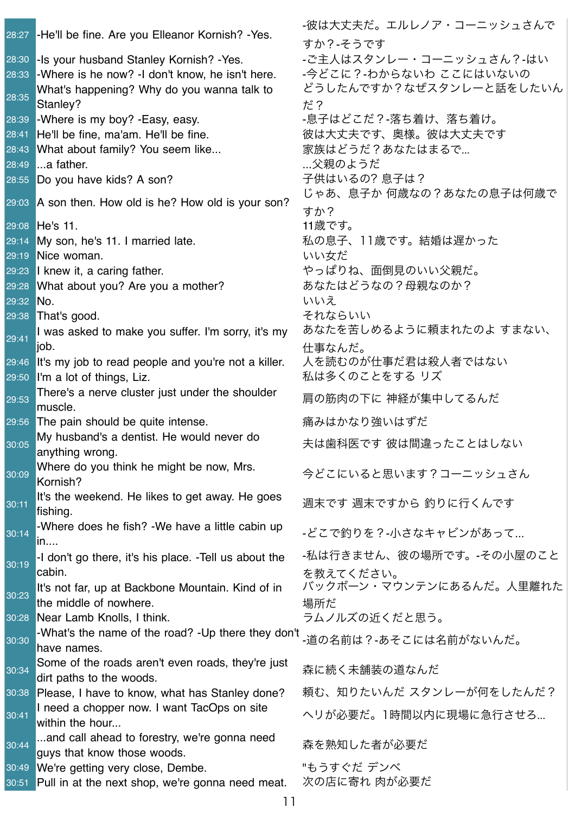28:27 -He'll be fine. Are you Elleanor Kornish? -Yes. -彼は大丈夫だ。エルレノア・コーニッシュさんで すか?-そうです 28:30 -Is your husband Stanley Kornish? -Yes. -ご主人はスタンレー・コーニッシュさん?-はい 28:33 -Where is he now? -I don't know, he isn't here. -今どこに?-わからないわ ここにはいないの 28:35 What's happening? Why do you wanna talk to Stanley? どうしたんですか?なぜスタンレーと話をしたいん だ? 28:39 -Where is my boy? -Easy, easy. http://www.edicaldedu.com/aid=28:39 -落ち着け、落ち着け。 28:41 He'll be fine, ma'am. He'll be fine. 彼は大丈夫です、奥様。彼は大丈夫です 28:43 What about family? You seem like... 家族はどうだ?あなたはまるで... 28:49 ...a father. ...父親のようだ 28:55 Do you have kids? A son? アンチング 子供はいるの? 息子は? 29:03 A son then. How old is he? How old is your son?<br>29:03 A son then. How old is he? How old is your son? すか? |29:08 | He's 11. 11歳です。 29:14 My son, he's 11. I married late. <br>29:14 My son, he's 11. I married late. <br>29:14 My son, he's 11. I married late. 29:19 Nice woman. いいちだい 29:23 I knew it, a caring father. やっぱりね、面倒見のいい父親だ。 29:28 What about you? Are you a mother? あなたはどうなの?母親なのか? 29:32 No. いいえん しんじょう しんしょう しんしょう しんしょう しんしょう しんしょう 29:38 That's good. 29:38 That's good. 29:41 I was asked to make you suffer. I'm sorry, it's my liob. あなたを苦しめるように頼まれたのよ すまない、 仕事なんだ。 29:46 It's my job to read people and you're not a killer. 人を読むのが仕事だ君は殺人者ではない 29:50 I'm a lot of things, Liz. インパントランチング 私は多くのことをする リズ 29:53 There's a nerve cluster just under the shoulder mere's a nerve cluster just under the shoulder 肩の筋肉の下に 神経が集中してるんだ 29:56 The pain should be quite intense. アイナン 痛みはかなり強いはずだ 30:05 My husband's a dentist. He would never do anything wrong. 夫は歯科医です 彼は間違ったことはしない 30:09 Where do you think he might be now, Mrs. where do you think he ringitt be now, wirs.  $\Rightarrow$  今どこにいると思います?コーニッシュさん 30:11 It's the weekend. He likes to get away. He goes |แร uie weekend. Не likes to get away. Не goes \_\_\_\_\_\_\_\_\_\_\_\_\_\_\_\_\_\_\_\_\_\_\_\_\_\_\_\_\_\_\_\_\_\_<br>|fishing. 30:14 -Where does he fish? -We have a little cabin up -wriere does ne nsm: -we have a little cabin up \_\_\_どこで釣りを?-小さなキャビンがあって...<br>in.... 30:19 -I don't go there, it's his place. -Tell us about the cabin. -私は行きません、彼の場所です。-その小屋のこと を教えてください。 30:23 It's not far, up at Backbone Mountain. Kind of in the middle of nowhere. バックボーン・マウンテンにあるんだ。人里離れた 場所だ 30:28 <mark>Near Lamb Knolls, I think.</mark> ファントリングルズの近くだと思う。 30:30 -What's the name of the road? -Up there they don't <sub>-道の名前は?-あそこには名前がないんだ。<br>have names.</sub> 30:34 Some of the roads aren't even roads, they're just oome or the roads arent even roads, they re just <sub>森に続く未舗装の道なんだ</sub> 30:38 Please. I have to know, what has Stanley done? 頼む、知りたいんだ スタンレーが何をしたんだ? 30:41 I need a chopper now. I want TacOps on site Theed a chopper now. I want TacOps on site  $\hspace{1cm} \wedge$ リが必要だ。1時間以内に現場に急行させろ...<br>within the hour... 30:44 ...and call ahead to forestry, we're gonna need ...and can ariead to forestry, we re gonna rieed<br>guys that know those woods. 30:49 We're getting very close, Dembe. アイデンベ 30:51 Pull in at the next shop, we're gonna need meat. 次の店に寄れ 肉が必要だ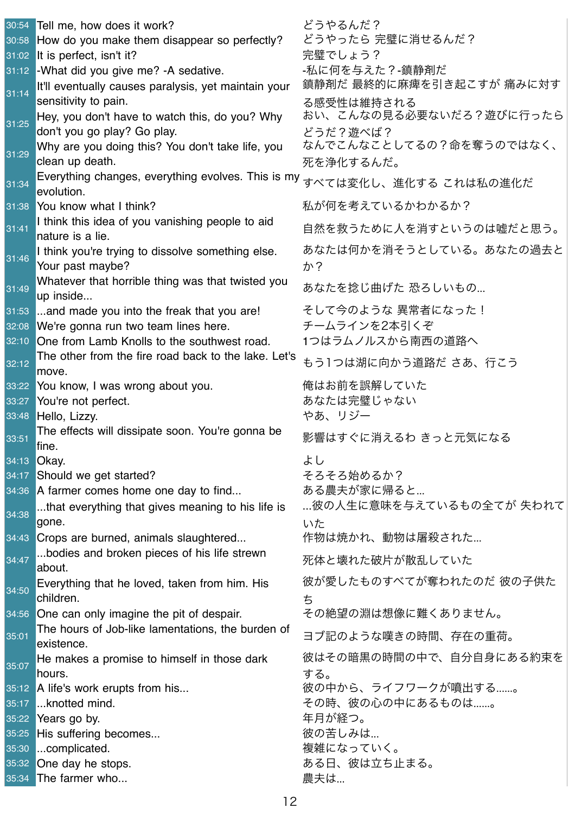| 30:54 | Tell me, how does it work?                                                                        | どうやるんだ?                                |
|-------|---------------------------------------------------------------------------------------------------|----------------------------------------|
| 30:58 | How do you make them disappear so perfectly?                                                      | どうやったら 完璧に消せるんだ?                       |
|       | 31:02 It is perfect, isn't it?                                                                    | 完璧でしょう?                                |
|       | 31:12 - What did you give me? - A sedative.                                                       | -私に何を与えた?-鎮静剤だ                         |
| 31:14 | It'll eventually causes paralysis, yet maintain your<br>sensitivity to pain.                      | 鎮静剤だ 最終的に麻痺を引き起こすが 痛みに対す<br>る感受性は維持される |
| 31:25 | Hey, you don't have to watch this, do you? Why                                                    | おい、こんなの見る必要ないだろ?遊びに行ったら                |
|       | don't you go play? Go play.                                                                       | どうだ?遊べば?<br>なんでこんなことしてるの?命を奪うのではなく、    |
| 31:29 | Why are you doing this? You don't take life, you<br>clean up death.                               | 死を浄化するんだ。                              |
|       |                                                                                                   |                                        |
| 31:34 | Everything changes, everything evolves. This is my <sub>すべては変化し、進化する これは私の進化だ</sub><br>evolution. |                                        |
|       | 31:38 You know what I think?                                                                      | 私が何を考えているかわかるか?                        |
|       | I think this idea of you vanishing people to aid                                                  |                                        |
| 31:41 | nature is a lie.                                                                                  | 自然を救うために人を消すというのは嘘だと思う。                |
| 31:46 | I think you're trying to dissolve something else.<br>Your past maybe?                             | あなたは何かを消そうとしている。あなたの過去と<br>か?          |
| 31:49 | Whatever that horrible thing was that twisted you<br>up inside                                    | あなたを捻じ曲げた 恐ろしいもの                       |
|       | 31:53 and made you into the freak that you are!                                                   | そして今のような 異常者になった!                      |
|       | 32:08 We're gonna run two team lines here.                                                        | チームラインを2本引くぞ                           |
|       | 32:10 One from Lamb Knolls to the southwest road.                                                 | 1つはラムノルスから南西の道路へ                       |
| 32:12 | The other from the fire road back to the lake. Let's                                              | もう1つは湖に向かう道路だ さあ、行こう                   |
|       | move.                                                                                             |                                        |
|       | 33:22 You know, I was wrong about you.                                                            | 俺はお前を誤解していた                            |
| 33:27 | You're not perfect.                                                                               | あなたは完璧じゃない                             |
|       | 33:48 Hello, Lizzy.                                                                               | やあ、リジー                                 |
| 33:51 | The effects will dissipate soon. You're gonna be<br>fine.                                         | 影響はすぐに消えるわ きっと元気になる                    |
|       | 34:13 Okay.                                                                                       | よし                                     |
|       | 34:17 Should we get started?                                                                      | そろそろ始めるか?                              |
|       | 34:36 A farmer comes home one day to find                                                         | ある農夫が家に帰ると…                            |
| 34:38 | that everything that gives meaning to his life is<br>gone.                                        | …彼の人生に意味を与えているもの全てが 失われて<br>いた         |
|       | 34:43 Crops are burned, animals slaughtered                                                       | 作物は焼かれ、動物は屠殺された                        |
| 34:47 | bodies and broken pieces of his life strewn<br>about.                                             | 死体と壊れた破片が散乱していた                        |
|       | Everything that he loved, taken from him. His                                                     | 彼が愛したものすべてが奪われたのだ 彼の子供た                |
| 34:50 | children.                                                                                         | ち                                      |
|       | 34:56 One can only imagine the pit of despair.                                                    | その絶望の淵は想像に難くありません。                     |
|       | The hours of Job-like lamentations, the burden of                                                 |                                        |
| 35:01 | existence.                                                                                        | ヨブ記のような嘆きの時間、存在の重荷。                    |
| 35:07 | He makes a promise to himself in those dark                                                       | 彼はその暗黒の時間の中で、自分自身にある約束を                |
|       | hours.                                                                                            | する。                                    |
|       | 35:12 A life's work erupts from his                                                               | 彼の中から、ライフワークが噴出する……。                   |
| 35:17 | knotted mind.                                                                                     | その時、彼の心の中にあるものは……。                     |
| 35:22 | Years go by.                                                                                      | 年月が経つ。                                 |
| 35:25 | His suffering becomes                                                                             | 彼の苦しみは                                 |
| 35:30 | complicated.                                                                                      | 複雑になっていく。                              |
|       | 35:32 One day he stops.                                                                           | ある日、彼は立ち止まる。                           |
| 35:34 | The farmer who                                                                                    | 農夫は                                    |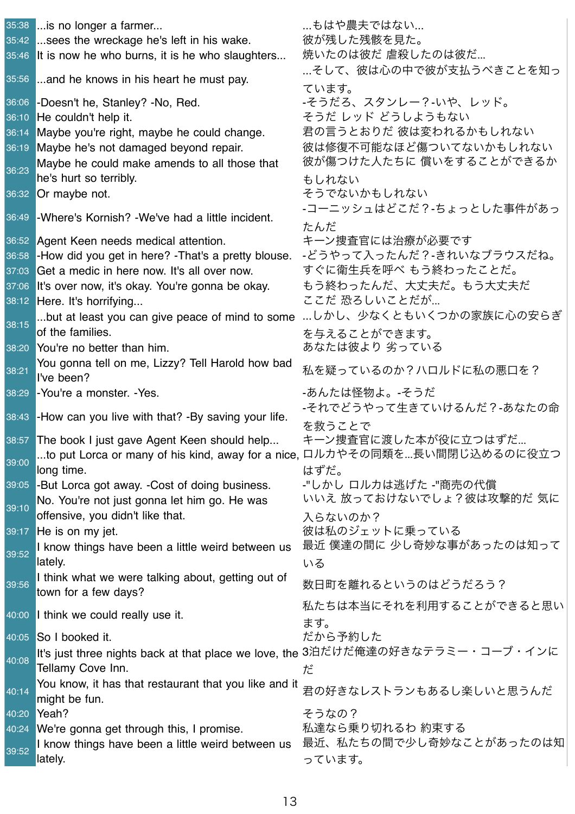|                | 35:38  is no longer a farmer                                                                      | …もはや農夫ではない…                                                               |
|----------------|---------------------------------------------------------------------------------------------------|---------------------------------------------------------------------------|
|                | 35:42  sees the wreckage he's left in his wake.                                                   | 彼が残した残骸を見た。                                                               |
|                | 35:46 It is now he who burns, it is he who slaughters                                             | 焼いたのは彼だ 虐殺したのは彼だ                                                          |
|                | 35:56 and he knows in his heart he must pay.                                                      | …そして、彼は心の中で彼が支払うべきことを知っ                                                   |
|                |                                                                                                   | ています。                                                                     |
| 36:06          | -Doesn't he, Stanley? -No, Red.                                                                   | -そうだろ、スタンレー?-いや、レッド。                                                      |
| 36:10          | He couldn't help it.                                                                              | そうだ レッド どうしようもない                                                          |
| 36:14          | Maybe you're right, maybe he could change.                                                        | 君の言うとおりだ 彼は変われるかもしれない                                                     |
| 36:19          | Maybe he's not damaged beyond repair.                                                             | 彼は修復不可能なほど傷ついてないかもしれない                                                    |
| 36:23          | Maybe he could make amends to all those that                                                      | 彼が傷つけた人たちに 償いをすることができるか                                                   |
|                | he's hurt so terribly.                                                                            | もしれない                                                                     |
|                | 36:32 Or maybe not.                                                                               | そうでないかもしれない                                                               |
| 36:49          | -Where's Kornish? -We've had a little incident.                                                   | -コーニッシュはどこだ?-ちょっとした事件があっ                                                  |
|                |                                                                                                   | たんだ                                                                       |
|                | 36:52 Agent Keen needs medical attention.                                                         | キーン捜査官には治療が必要です<br>-どうやって入ったんだ?-きれいなブラウスだね。                               |
| 36:58<br>37:03 | -How did you get in here? -That's a pretty blouse.<br>Get a medic in here now. It's all over now. | すぐに衛生兵を呼べ もう終わったことだ。                                                      |
| 37:06          | It's over now, it's okay. You're gonna be okay.                                                   | もう終わったんだ、大丈夫だ。もう大丈夫だ                                                      |
|                | 38:12 Here. It's horrifying                                                                       | ここだ 恐ろしいことだが                                                              |
|                | but at least you can give peace of mind to some                                                   | …しかし、少なくともいくつかの家族に心の安らぎ                                                   |
| 38:15          | of the families.                                                                                  | を与えることができます。                                                              |
|                | 38:20 You're no better than him.                                                                  | あなたは彼より 劣っている                                                             |
|                | You gonna tell on me, Lizzy? Tell Harold how bad                                                  |                                                                           |
| 38:21          | I've been?                                                                                        | 私を疑っているのか?ハロルドに私の悪口を?                                                     |
| 38:29          | -You're a monster. -Yes.                                                                          | -あんたは怪物よ。-そうだ                                                             |
|                |                                                                                                   | -それでどうやって生きていけるんだ?-あなたの命                                                  |
|                | 38:43 - How can you live with that? - By saving your life.                                        | を救うことで                                                                    |
|                | 38:57 The book I just gave Agent Keen should help                                                 | キーン捜査官に渡した本が役に立つはずだ                                                       |
| 39:00          |                                                                                                   | to put Lorca or many of his kind, away for a nice, ロルカやその同類を長い間閉じ込めるのに役立つ |
|                | long time.                                                                                        | はずだ。                                                                      |
| 39:05          | -But Lorca got away. -Cost of doing business.                                                     | -"しかし ロルカは逃げた -"商売の代償                                                     |
| 39:10          | No. You're not just gonna let him go. He was                                                      | いいえ 放っておけないでしょ?彼は攻撃的だ 気に                                                  |
|                | offensive, you didn't like that.                                                                  | 入らないのか?                                                                   |
|                | $39:17$ He is on my jet.                                                                          | 彼は私のジェットに乗っている                                                            |
| 39:52          | I know things have been a little weird between us                                                 | 最近 僕達の間に 少し奇妙な事があったのは知って                                                  |
|                | lately.                                                                                           | いる                                                                        |
| 39:56          | I think what we were talking about, getting out of                                                | 数日町を離れるというのはどうだろう?                                                        |
|                | town for a few days?                                                                              | 私たちは本当にそれを利用することができると思い                                                   |
|                | 40:00 I think we could really use it.                                                             | ます。                                                                       |
|                | 40:05 So I booked it.                                                                             | だから予約した                                                                   |
|                | It's just three nights back at that place we love, the 3泊だけだ俺達の好きなテラミー・コーブ・インに                    |                                                                           |
| 40:08          | Tellamy Cove Inn.                                                                                 | だ                                                                         |
|                | You know, it has that restaurant that you like and it                                             |                                                                           |
| 40:14          | might be fun.                                                                                     | 君の好きなレストランもあるし楽しいと思うんだ                                                    |
| 40:20          | Yeah?                                                                                             | そうなの?                                                                     |
| 40:24          | We're gonna get through this, I promise.                                                          | 私達なら乗り切れるわ 約束する                                                           |
| 39:52          | I know things have been a little weird between us                                                 | 最近、私たちの間で少し奇妙なことがあったのは知                                                   |
|                | lately.                                                                                           | っています。                                                                    |